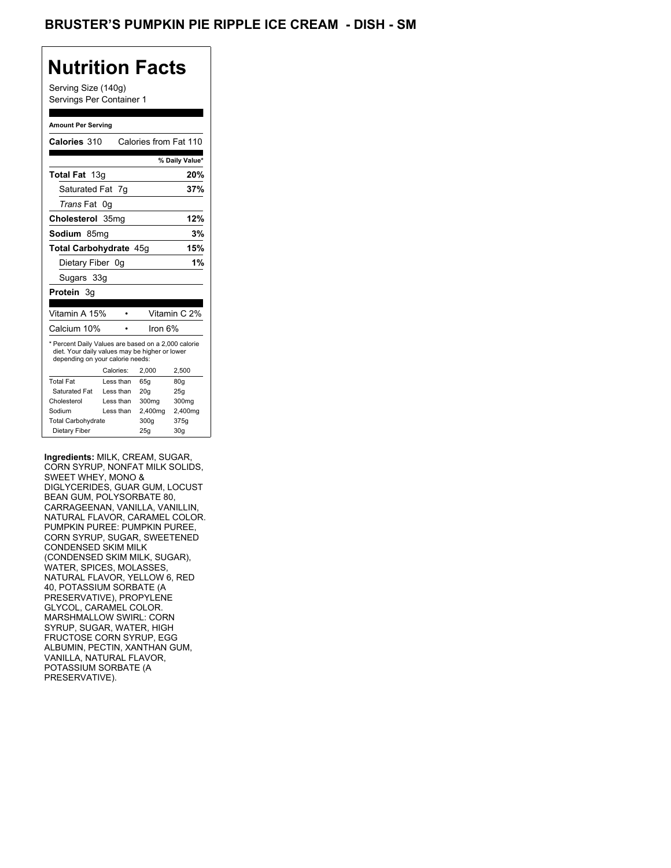## **Nutrition Facts**

Serving Size (140g) Servings Per Container 1

#### **Amount Per Serving**

| Calories 310                                                                                                                              |                  | Calories from Fat 110 |                |  |
|-------------------------------------------------------------------------------------------------------------------------------------------|------------------|-----------------------|----------------|--|
|                                                                                                                                           |                  |                       | % Daily Value* |  |
| <b>Total Fat</b> 13g                                                                                                                      |                  |                       | 20%            |  |
| Saturated Fat                                                                                                                             | - 7g             |                       | 37%            |  |
| <i>Trans</i> Fat                                                                                                                          | 0g               |                       |                |  |
| Cholesterol                                                                                                                               | 35 <sub>ma</sub> |                       | 12%            |  |
| Sodium 85mq                                                                                                                               |                  |                       | 3%             |  |
| Total Carbohydrate 45q                                                                                                                    |                  |                       | 15%            |  |
| Dietary Fiber 0g                                                                                                                          |                  |                       | 1%             |  |
| Sugars 33g                                                                                                                                |                  |                       |                |  |
| Protein 3g                                                                                                                                |                  |                       |                |  |
|                                                                                                                                           |                  |                       |                |  |
| Vitamin A 15%                                                                                                                             |                  |                       | Vitamin C 2%   |  |
| Calcium 10%                                                                                                                               |                  | lron 6%               |                |  |
| * Percent Daily Values are based on a 2,000 calorie<br>diet. Your daily values may be higher or lower<br>depending on your calorie needs: |                  |                       |                |  |
|                                                                                                                                           | Calories:        | 2.000                 | 2,500          |  |
| <b>Total Fat</b>                                                                                                                          | Less than        | 65q                   | 80q            |  |
| Saturated Fat                                                                                                                             | Less than        | 20q                   | 25g            |  |
|                                                                                                                                           |                  |                       |                |  |
| Cholesterol                                                                                                                               | Less than        | 300mg                 | 300mg          |  |
| Sodium                                                                                                                                    | Less than        | 2,400mg               | 2,400mg        |  |
| <b>Total Carbohydrate</b>                                                                                                                 |                  | 300g                  | 375g           |  |

**Ingredients:** MILK, CREAM, SUGAR, CORN SYRUP, NONFAT MILK SOLIDS, SWEET WHEY, MONO & DIGLYCERIDES, GUAR GUM, LOCUST BEAN GUM, POLYSORBATE 80, CARRAGEENAN, VANILLA, VANILLIN, NATURAL FLAVOR, CARAMEL COLOR. PUMPKIN PUREE: PUMPKIN PUREE, CORN SYRUP, SUGAR, SWEETENED CONDENSED SKIM MILK (CONDENSED SKIM MILK, SUGAR), WATER, SPICES, MOLASSES, NATURAL FLAVOR, YELLOW 6, RED 40, POTASSIUM SORBATE (A PRESERVATIVE), PROPYLENE GLYCOL, CARAMEL COLOR. MARSHMALLOW SWIRL: CORN SYRUP, SUGAR, WATER, HIGH FRUCTOSE CORN SYRUP, EGG ALBUMIN, PECTIN, XANTHAN GUM, VANILLA, NATURAL FLAVOR, POTASSIUM SORBATE (A PRESERVATIVE).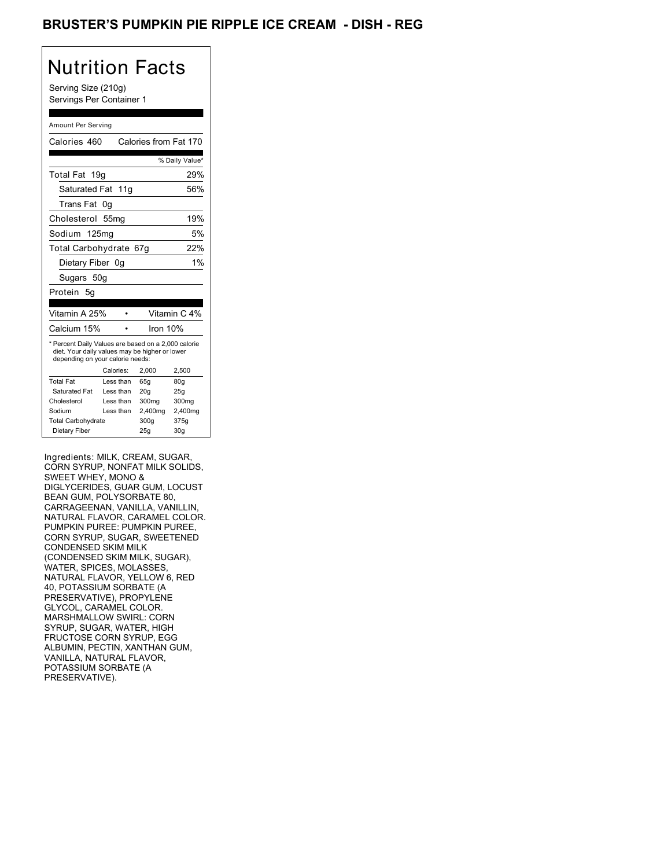## BRUSTER'S PUMPKIN PIE RIPPLE ICE CREAM - DISH - REG

# Nutrition Facts

Serving Size (210g) Servings Per Container 1

#### Amount Per Serving

| Calories 460                                                                                                                              |                  | Calories from Fat 170 |                 |
|-------------------------------------------------------------------------------------------------------------------------------------------|------------------|-----------------------|-----------------|
|                                                                                                                                           |                  |                       | % Daily Value*  |
| Total Fat 19q                                                                                                                             |                  |                       | 29%             |
| Saturated Fat 11g                                                                                                                         |                  |                       | 56%             |
| Trans Fat                                                                                                                                 | 0g               |                       |                 |
| Cholesterol                                                                                                                               | 55 <sub>mq</sub> |                       | 19%             |
| Sodium 125mg                                                                                                                              |                  |                       | 5%              |
| Total Carbohydrate 67g                                                                                                                    |                  |                       | 22%             |
| Dietary Fiber 0g                                                                                                                          |                  |                       | 1%              |
| Sugars 50g                                                                                                                                |                  |                       |                 |
| Protein<br>5g                                                                                                                             |                  |                       |                 |
|                                                                                                                                           |                  |                       |                 |
| Vitamin A 25%                                                                                                                             |                  |                       | Vitamin C 4%    |
| Calcium 15%                                                                                                                               |                  | Iron 10%              |                 |
| * Percent Daily Values are based on a 2,000 calorie<br>diet. Your daily values may be higher or lower<br>depending on your calorie needs: |                  |                       |                 |
|                                                                                                                                           | Calories:        | 2,000                 | 2,500           |
| <b>Total Fat</b>                                                                                                                          | Less than        | 65g                   | 80 <sub>g</sub> |
| Saturated Fat                                                                                                                             | Less than        | 20q                   | 25g             |
| Cholesterol                                                                                                                               | Less than        | 300 <sub>mg</sub>     | 300mg           |
| Sodium                                                                                                                                    | Less than        | 2,400mg               | 2,400mg         |
| <b>Total Carbohydrate</b>                                                                                                                 |                  | 300q                  | 375g            |
| Dietary Fiber                                                                                                                             |                  |                       | 30 <sub>g</sub> |

Ingredients: MILK, CREAM, SUGAR, CORN SYRUP, NONFAT MILK SOLIDS, SWEET WHEY, MONO & DIGLYCERIDES, GUAR GUM, LOCUST BEAN GUM, POLYSORBATE 80, CARRAGEENAN, VANILLA, VANILLIN, NATURAL FLAVOR, CARAMEL COLOR. PUMPKIN PUREE: PUMPKIN PUREE, CORN SYRUP, SUGAR, SWEETENED CONDENSED SKIM MILK (CONDENSED SKIM MILK, SUGAR), WATER, SPICES, MOLASSES, NATURAL FLAVOR, YELLOW 6, RED 40, POTASSIUM SORBATE (A PRESERVATIVE), PROPYLENE GLYCOL, CARAMEL COLOR. MARSHMALLOW SWIRL: CORN SYRUP, SUGAR, WATER, HIGH FRUCTOSE CORN SYRUP, EGG ALBUMIN, PECTIN, XANTHAN GUM, VANILLA, NATURAL FLAVOR, POTASSIUM SORBATE (A PRESERVATIVE).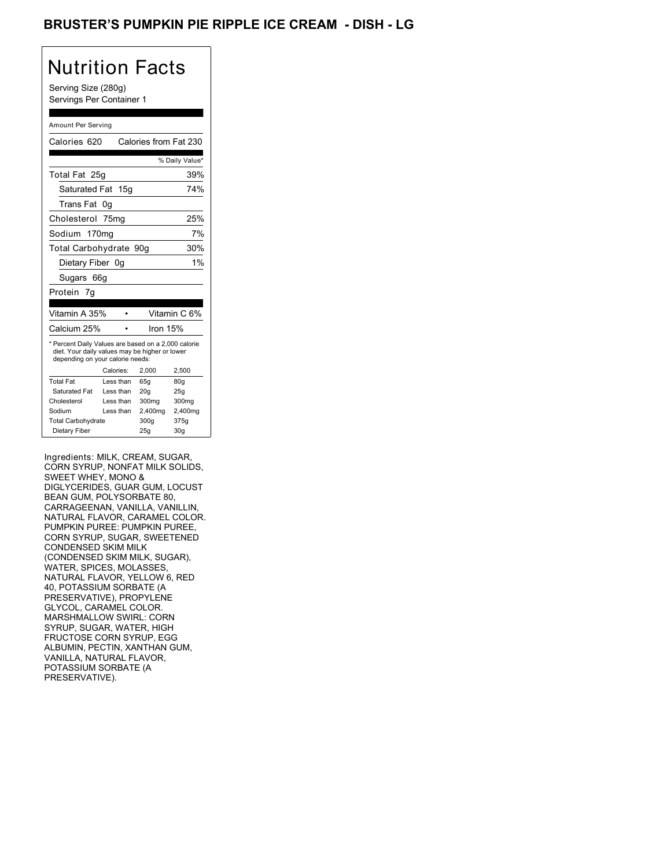## BRUSTER'S PUMPKIN PIE RIPPLE ICE CREAM - DISH <mark>-</mark> LG

## Nutrition Facts

Serving Size (280g) Servings Per Container 1

#### Amount Per Serving

| Calories 620                                                                                                                              |                  | Calories from Fat 230 |                 |
|-------------------------------------------------------------------------------------------------------------------------------------------|------------------|-----------------------|-----------------|
|                                                                                                                                           |                  |                       | % Daily Value*  |
| Total Fat 25g                                                                                                                             |                  |                       | 39%             |
| Saturated Fat 15g                                                                                                                         |                  |                       | 74%             |
| Trans Fat                                                                                                                                 | 0g               |                       |                 |
| Cholesterol                                                                                                                               | 75 <sub>mq</sub> |                       | 25%             |
| Sodium 170mg                                                                                                                              |                  |                       | 7%              |
| Total Carbohydrate 90g                                                                                                                    |                  |                       | 30%             |
| Dietary Fiber 0g                                                                                                                          |                  |                       | 1%              |
| Sugars 66g                                                                                                                                |                  |                       |                 |
| Protein 7q                                                                                                                                |                  |                       |                 |
|                                                                                                                                           |                  |                       |                 |
| Vitamin A 35%                                                                                                                             |                  |                       | Vitamin C 6%    |
| Calcium 25%                                                                                                                               |                  | Iron 15%              |                 |
| * Percent Daily Values are based on a 2,000 calorie<br>diet. Your daily values may be higher or lower<br>depending on your calorie needs: |                  |                       |                 |
|                                                                                                                                           | Calories:        | 2.000                 | 2,500           |
| <b>Total Fat</b>                                                                                                                          | Less than        | 65q                   | 80q             |
| Saturated Fat                                                                                                                             | Less than        | 20q                   | 25q             |
| Cholesterol                                                                                                                               | Less than        | 300mg                 | 300mg           |
| Sodium                                                                                                                                    | Less than        | 2,400mg               | 2,400mg         |
| <b>Total Carbohydrate</b>                                                                                                                 |                  | 300g                  | 375g            |
| Dietary Fiber                                                                                                                             |                  | 25g                   | 30 <sub>g</sub> |

Ingredients: MILK, CREAM, SUGAR, CORN SYRUP, NONFAT MILK SOLIDS, SWEET WHEY, MONO & DIGLYCERIDES, GUAR GUM, LOCUST BEAN GUM, POLYSORBATE 80, CARRAGEENAN, VANILLA, VANILLIN, NATURAL FLAVOR, CARAMEL COLOR. PUMPKIN PUREE: PUMPKIN PUREE, CORN SYRUP, SUGAR, SWEETENED CONDENSED SKIM MILK (CONDENSED SKIM MILK, SUGAR), WATER, SPICES, MOLASSES, NATURAL FLAVOR, YELLOW 6, RED 40, POTASSIUM SORBATE (A PRESERVATIVE), PROPYLENE GLYCOL, CARAMEL COLOR. MARSHMALLOW SWIRL: CORN SYRUP, SUGAR, WATER, HIGH FRUCTOSE CORN SYRUP, EGG ALBUMIN, PECTIN, XANTHAN GUM, VANILLA, NATURAL FLAVOR, POTASSIUM SORBATE (A PRESERVATIVE).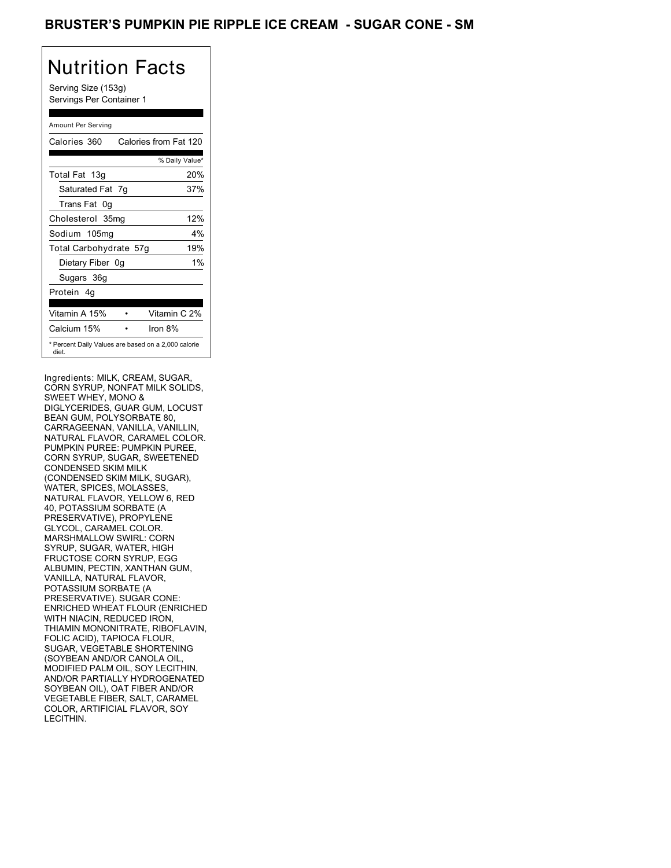### BRUSTER'S PUMPKIN PIE RIPPLE ICE CREAM - SUGAR CONE - SM

## Nutrition Facts

Serving Size (153g) Servings Per Container 1

#### Amount Per Serving

| Calories 360           | Calories from Fat 120                               |
|------------------------|-----------------------------------------------------|
|                        | % Daily Value*                                      |
| Total Fat 13g          | 20%                                                 |
| Saturated Fat 7g       | 37%                                                 |
| Trans Fat 0q           |                                                     |
| Cholesterol 35mg       | 12%                                                 |
| Sodium 105mg           | $4\%$                                               |
| Total Carbohydrate 57g | 19%                                                 |
| Dietary Fiber 0g       | $1\%$                                               |
| Sugars 36g             |                                                     |
| Protein 4q             |                                                     |
| Vitamin A 15%          | Vitamin C 2%                                        |
| Calcium 15%            | Iron $8\%$                                          |
| diet.                  | * Percent Daily Values are based on a 2,000 calorie |

Ingredients: MILK, CREAM, SUGAR, CORN SYRUP, NONFAT MILK SOLIDS, SWEET WHEY, MONO & DIGLYCERIDES, GUAR GUM, LOCUST BEAN GUM, POLYSORBATE 80, CARRAGEENAN, VANILLA, VANILLIN, NATURAL FLAVOR, CARAMEL COLOR. PUMPKIN PUREE: PUMPKIN PUREE, CORN SYRUP, SUGAR, SWEETENED CONDENSED SKIM MILK (CONDENSED SKIM MILK, SUGAR), WATER, SPICES, MOLASSES, NATURAL FLAVOR, YELLOW 6, RED 40, POTASSIUM SORBATE (A PRESERVATIVE), PROPYLENE GLYCOL, CARAMEL COLOR. MARSHMALLOW SWIRL: CORN SYRUP, SUGAR, WATER, HIGH FRUCTOSE CORN SYRUP, EGG ALBUMIN, PECTIN, XANTHAN GUM, VANILLA, NATURAL FLAVOR, POTASSIUM SORBATE (A PRESERVATIVE). SUGAR CONE: ENRICHED WHEAT FLOUR (ENRICHED WITH NIACIN, REDUCED IRON, THIAMIN MONONITRATE, RIBOFLAVIN, FOLIC ACID), TAPIOCA FLOUR, SUGAR, VEGETABLE SHORTENING (SOYBEAN AND/OR CANOLA OIL, MODIFIED PALM OIL, SOY LECITHIN, AND/OR PARTIALLY HYDROGENATED SOYBEAN OIL), OAT FIBER AND/OR VEGETABLE FIBER, SALT, CARAMEL COLOR, ARTIFICIAL FLAVOR, SOY LECITHIN.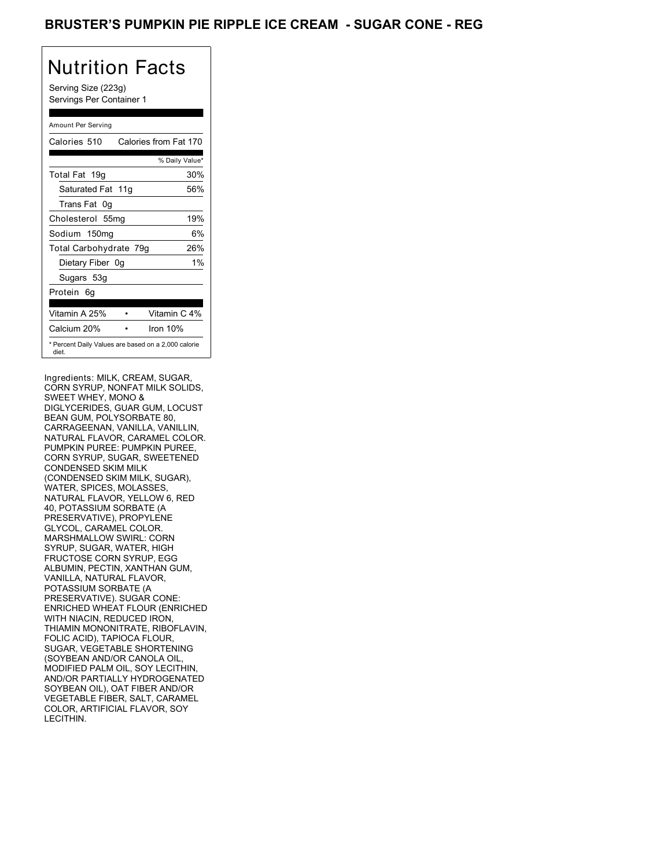### BRUSTER'S PUMPKIN PIE RIPPLE ICE CREAM - SUGAR CONE - REG

## Nutrition Facts

Serving Size (223g) Servings Per Container 1

#### Amount Per Serving

| Calories 510           | Calories from Fat 170                               |       |
|------------------------|-----------------------------------------------------|-------|
|                        | % Daily Value*                                      |       |
| Total Fat 19g          | 30%                                                 |       |
| Saturated Fat 11g      | 56%                                                 |       |
| Trans Fat 0q           |                                                     |       |
| Cholesterol 55mg       | 19%                                                 |       |
| Sodium 150mg           |                                                     | 6%    |
| Total Carbohydrate 79g | 26%                                                 |       |
| Dietary Fiber 0g       |                                                     | $1\%$ |
| Sugars 53g             |                                                     |       |
| Protein 6q             |                                                     |       |
| Vitamin A 25%          | Vitamin C 4%                                        |       |
| Calcium 20%            | Iron $10%$                                          |       |
| diet.                  | * Percent Daily Values are based on a 2,000 calorie |       |

Ingredients: MILK, CREAM, SUGAR, CORN SYRUP, NONFAT MILK SOLIDS, SWEET WHEY, MONO & DIGLYCERIDES, GUAR GUM, LOCUST BEAN GUM, POLYSORBATE 80, CARRAGEENAN, VANILLA, VANILLIN, NATURAL FLAVOR, CARAMEL COLOR. PUMPKIN PUREE: PUMPKIN PUREE, CORN SYRUP, SUGAR, SWEETENED CONDENSED SKIM MILK (CONDENSED SKIM MILK, SUGAR), WATER, SPICES, MOLASSES, NATURAL FLAVOR, YELLOW 6, RED 40, POTASSIUM SORBATE (A PRESERVATIVE), PROPYLENE GLYCOL, CARAMEL COLOR. MARSHMALLOW SWIRL: CORN SYRUP, SUGAR, WATER, HIGH FRUCTOSE CORN SYRUP, EGG ALBUMIN, PECTIN, XANTHAN GUM, VANILLA, NATURAL FLAVOR, POTASSIUM SORBATE (A PRESERVATIVE). SUGAR CONE: ENRICHED WHEAT FLOUR (ENRICHED WITH NIACIN, REDUCED IRON, THIAMIN MONONITRATE, RIBOFLAVIN, FOLIC ACID), TAPIOCA FLOUR, SUGAR, VEGETABLE SHORTENING (SOYBEAN AND/OR CANOLA OIL, MODIFIED PALM OIL, SOY LECITHIN, AND/OR PARTIALLY HYDROGENATED SOYBEAN OIL), OAT FIBER AND/OR VEGETABLE FIBER, SALT, CARAMEL COLOR, ARTIFICIAL FLAVOR, SOY LECITHIN.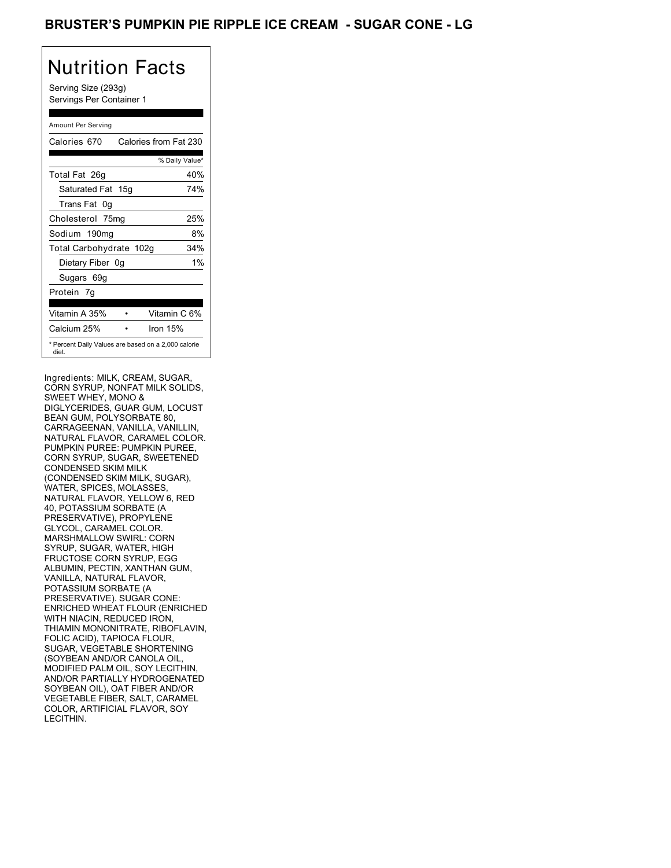### BRUSTER'S PUMPKIN PIE RIPPLE ICE CREAM - SUGAR CONE - LG

## Nutrition Facts

Serving Size (293g) Servings Per Container 1

#### Amount Per Serving

| Calories 670            | Calories from Fat 230                               |
|-------------------------|-----------------------------------------------------|
|                         | % Daily Value*                                      |
| Total Fat 26g           | 40%                                                 |
| Saturated Fat 15g       | 74%                                                 |
| Trans Fat 0q            |                                                     |
| Cholesterol 75mg        | 25%                                                 |
| Sodium 190mg            | 8%                                                  |
| Total Carbohydrate 102g | 34%                                                 |
| Dietary Fiber 0g        | $1\%$                                               |
| Sugars 69g              |                                                     |
| Protein 7q              |                                                     |
| Vitamin A 35%           | Vitamin C 6%                                        |
| Calcium 25%             | Iron $15%$                                          |
| diet.                   | * Percent Daily Values are based on a 2,000 calorie |

Ingredients: MILK, CREAM, SUGAR, CORN SYRUP, NONFAT MILK SOLIDS, SWEET WHEY, MONO & DIGLYCERIDES, GUAR GUM, LOCUST BEAN GUM, POLYSORBATE 80, CARRAGEENAN, VANILLA, VANILLIN, NATURAL FLAVOR, CARAMEL COLOR. PUMPKIN PUREE: PUMPKIN PUREE, CORN SYRUP, SUGAR, SWEETENED CONDENSED SKIM MILK (CONDENSED SKIM MILK, SUGAR), WATER, SPICES, MOLASSES, NATURAL FLAVOR, YELLOW 6, RED 40, POTASSIUM SORBATE (A PRESERVATIVE), PROPYLENE GLYCOL, CARAMEL COLOR. MARSHMALLOW SWIRL: CORN SYRUP, SUGAR, WATER, HIGH FRUCTOSE CORN SYRUP, EGG ALBUMIN, PECTIN, XANTHAN GUM, VANILLA, NATURAL FLAVOR, POTASSIUM SORBATE (A PRESERVATIVE). SUGAR CONE: ENRICHED WHEAT FLOUR (ENRICHED WITH NIACIN, REDUCED IRON, THIAMIN MONONITRATE, RIBOFLAVIN, FOLIC ACID), TAPIOCA FLOUR, SUGAR, VEGETABLE SHORTENING (SOYBEAN AND/OR CANOLA OIL, MODIFIED PALM OIL, SOY LECITHIN, AND/OR PARTIALLY HYDROGENATED SOYBEAN OIL), OAT FIBER AND/OR VEGETABLE FIBER, SALT, CARAMEL COLOR, ARTIFICIAL FLAVOR, SOY LECITHIN.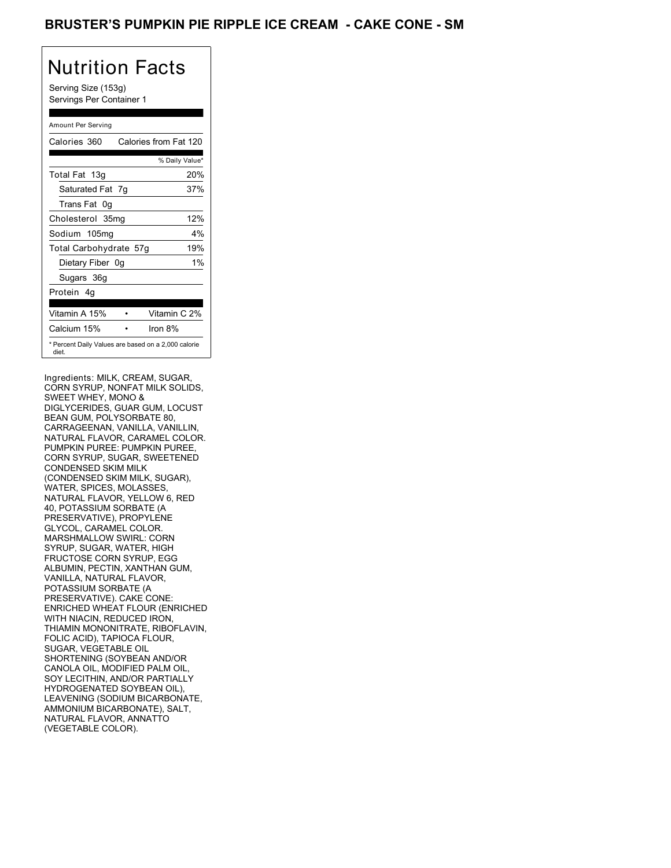### BRUSTER'S PUMPKIN PIE RIPPLE ICE CREAM - CAKE CONE - SM

## Nutrition Facts

Serving Size (153g) Servings Per Container 1

#### Amount Per Serving

| Calories 360           | Calories from Fat 120                               |
|------------------------|-----------------------------------------------------|
|                        | % Daily Value*                                      |
| Total Fat 13g          | 20%                                                 |
| Saturated Fat 7g       | 37%                                                 |
| Trans Fat 0q           |                                                     |
| Cholesterol 35mg       | 12%                                                 |
| Sodium 105mg           | 4%                                                  |
| Total Carbohydrate 57g | 19%                                                 |
| Dietary Fiber 0g       | $1\%$                                               |
| Sugars 36g             |                                                     |
| Protein 4q             |                                                     |
| Vitamin A 15%          | Vitamin C 2%                                        |
| Calcium 15%            | Iron 8%                                             |
| diet.                  | * Percent Daily Values are based on a 2,000 calorie |

Ingredients: MILK, CREAM, SUGAR, CORN SYRUP, NONFAT MILK SOLIDS, SWEET WHEY, MONO & DIGLYCERIDES, GUAR GUM, LOCUST BEAN GUM, POLYSORBATE 80, CARRAGEENAN, VANILLA, VANILLIN, NATURAL FLAVOR, CARAMEL COLOR. PUMPKIN PUREE: PUMPKIN PUREE, CORN SYRUP, SUGAR, SWEETENED CONDENSED SKIM MILK (CONDENSED SKIM MILK, SUGAR), WATER, SPICES, MOLASSES, NATURAL FLAVOR, YELLOW 6, RED 40, POTASSIUM SORBATE (A PRESERVATIVE), PROPYLENE GLYCOL, CARAMEL COLOR. MARSHMALLOW SWIRL: CORN SYRUP, SUGAR, WATER, HIGH FRUCTOSE CORN SYRUP, EGG ALBUMIN, PECTIN, XANTHAN GUM, VANILLA, NATURAL FLAVOR, POTASSIUM SORBATE (A PRESERVATIVE). CAKE CONE: ENRICHED WHEAT FLOUR (ENRICHED WITH NIACIN, REDUCED IRON, THIAMIN MONONITRATE, RIBOFLAVIN, FOLIC ACID), TAPIOCA FLOUR, SUGAR, VEGETABLE OIL SHORTENING (SOYBEAN AND/OR CANOLA OIL, MODIFIED PALM OIL, SOY LECITHIN, AND/OR PARTIALLY HYDROGENATED SOYBEAN OIL), LEAVENING (SODIUM BICARBONATE, AMMONIUM BICARBONATE), SALT, NATURAL FLAVOR, ANNATTO (VEGETABLE COLOR).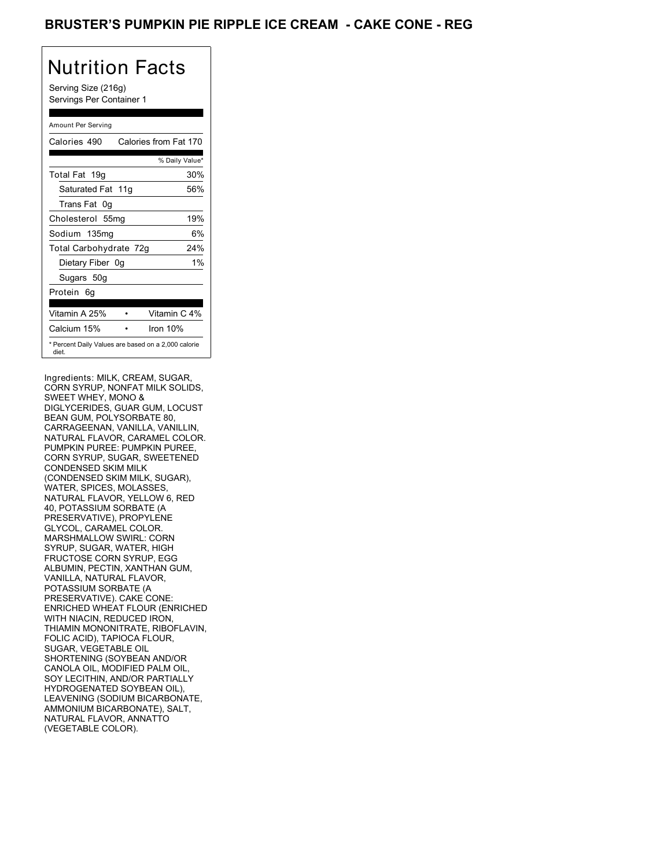### BRUSTER'S PUMPKIN PIE RIPPLE ICE CREAM - CAKE CONE - REG

## Nutrition Facts

Serving Size (216g) Servings Per Container 1

#### Amount Per Serving

| Calories 490           | Calories from Fat 170                               |
|------------------------|-----------------------------------------------------|
|                        | % Daily Value*                                      |
| Total Fat 19g          | 30%                                                 |
| Saturated Fat 11g      | 56%                                                 |
| Trans Fat 0q           |                                                     |
| Cholesterol 55mg       | 19%                                                 |
| Sodium 135mg           | 6%                                                  |
| Total Carbohydrate 72g | 24%                                                 |
| Dietary Fiber 0g       | $1\%$                                               |
| Sugars 50g             |                                                     |
| Protein 6q             |                                                     |
| Vitamin A 25%          | Vitamin C 4%                                        |
| Calcium 15%            | Iron 10%                                            |
| diet.                  | * Percent Daily Values are based on a 2,000 calorie |

Ingredients: MILK, CREAM, SUGAR, CORN SYRUP, NONFAT MILK SOLIDS, SWEET WHEY, MONO & DIGLYCERIDES, GUAR GUM, LOCUST BEAN GUM, POLYSORBATE 80, CARRAGEENAN, VANILLA, VANILLIN, NATURAL FLAVOR, CARAMEL COLOR. PUMPKIN PUREE: PUMPKIN PUREE, CORN SYRUP, SUGAR, SWEETENED CONDENSED SKIM MILK (CONDENSED SKIM MILK, SUGAR), WATER, SPICES, MOLASSES, NATURAL FLAVOR, YELLOW 6, RED 40, POTASSIUM SORBATE (A PRESERVATIVE), PROPYLENE GLYCOL, CARAMEL COLOR. MARSHMALLOW SWIRL: CORN SYRUP, SUGAR, WATER, HIGH FRUCTOSE CORN SYRUP, EGG ALBUMIN, PECTIN, XANTHAN GUM, VANILLA, NATURAL FLAVOR, POTASSIUM SORBATE (A PRESERVATIVE). CAKE CONE: ENRICHED WHEAT FLOUR (ENRICHED WITH NIACIN, REDUCED IRON, THIAMIN MONONITRATE, RIBOFLAVIN, FOLIC ACID), TAPIOCA FLOUR, SUGAR, VEGETABLE OIL SHORTENING (SOYBEAN AND/OR CANOLA OIL, MODIFIED PALM OIL, SOY LECITHIN, AND/OR PARTIALLY HYDROGENATED SOYBEAN OIL), LEAVENING (SODIUM BICARBONATE, AMMONIUM BICARBONATE), SALT, NATURAL FLAVOR, ANNATTO (VEGETABLE COLOR).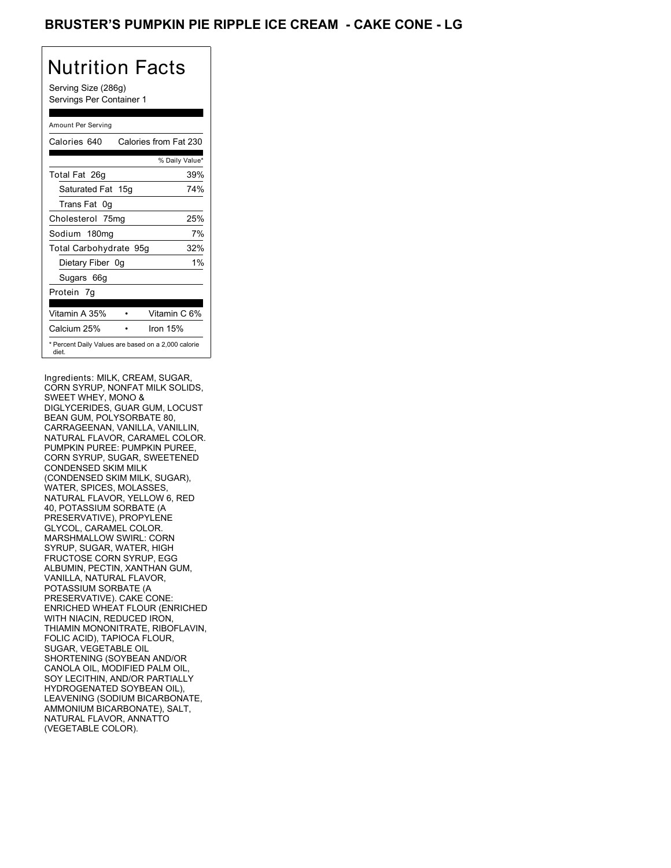### BRUSTER'S PUMPKIN PIE RIPPLE ICE CREAM - CAKE CONE - LG

## Nutrition Facts

Serving Size (286g) Servings Per Container 1

#### Amount Per Serving

| Calories 640                                                 | Calories from Fat 230 |
|--------------------------------------------------------------|-----------------------|
|                                                              | % Daily Value*        |
| Total Fat 26g                                                | 39%                   |
| Saturated Fat 15g                                            | 74%                   |
| Trans Fat 0q                                                 |                       |
| Cholesterol 75mg                                             | 25%                   |
| Sodium 180mg                                                 | 7%                    |
| Total Carbohydrate 95g                                       | 32%                   |
| Dietary Fiber 0g                                             | $1\%$                 |
| Sugars 66g                                                   |                       |
| Protein 7q                                                   |                       |
| Vitamin A 35%                                                | Vitamin C 6%          |
| Calcium 25%                                                  | Iron $15%$            |
| * Percent Daily Values are based on a 2,000 calorie<br>diet. |                       |

Ingredients: MILK, CREAM, SUGAR, CORN SYRUP, NONFAT MILK SOLIDS, SWEET WHEY, MONO & DIGLYCERIDES, GUAR GUM, LOCUST BEAN GUM, POLYSORBATE 80, CARRAGEENAN, VANILLA, VANILLIN, NATURAL FLAVOR, CARAMEL COLOR. PUMPKIN PUREE: PUMPKIN PUREE, CORN SYRUP, SUGAR, SWEETENED CONDENSED SKIM MILK (CONDENSED SKIM MILK, SUGAR), WATER, SPICES, MOLASSES, NATURAL FLAVOR, YELLOW 6, RED 40, POTASSIUM SORBATE (A PRESERVATIVE), PROPYLENE GLYCOL, CARAMEL COLOR. MARSHMALLOW SWIRL: CORN SYRUP, SUGAR, WATER, HIGH FRUCTOSE CORN SYRUP, EGG ALBUMIN, PECTIN, XANTHAN GUM, VANILLA, NATURAL FLAVOR, POTASSIUM SORBATE (A PRESERVATIVE). CAKE CONE: ENRICHED WHEAT FLOUR (ENRICHED WITH NIACIN, REDUCED IRON, THIAMIN MONONITRATE, RIBOFLAVIN, FOLIC ACID), TAPIOCA FLOUR, SUGAR, VEGETABLE OIL SHORTENING (SOYBEAN AND/OR CANOLA OIL, MODIFIED PALM OIL, SOY LECITHIN, AND/OR PARTIALLY HYDROGENATED SOYBEAN OIL), LEAVENING (SODIUM BICARBONATE, AMMONIUM BICARBONATE), SALT, NATURAL FLAVOR, ANNATTO (VEGETABLE COLOR).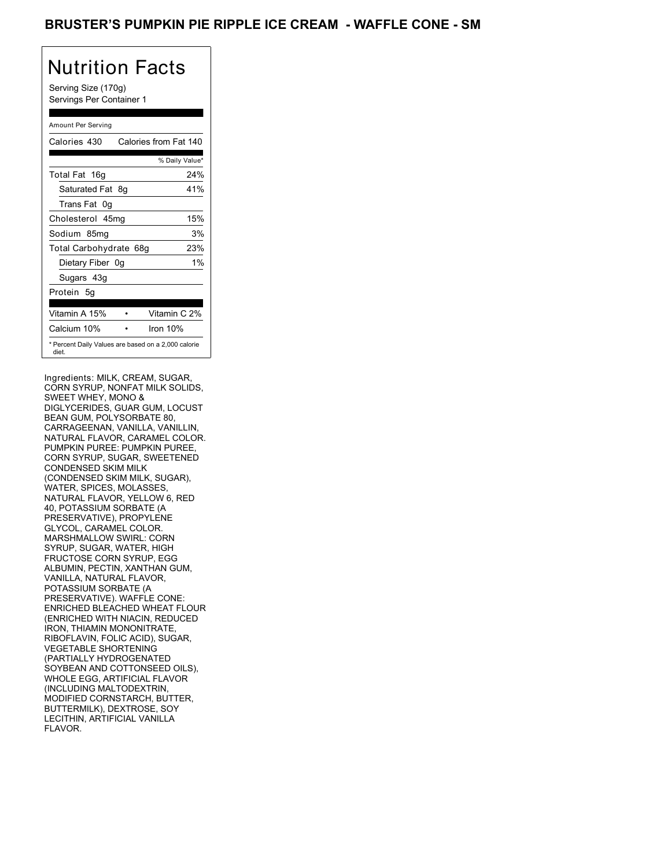### BRUSTER'S PUMPKIN PIE RIPPLE ICE CREAM - WAFFLE CONE - SM

## Nutrition Facts

Serving Size (170g) Servings Per Container 1

#### Amount Per Serving

| Calories 430           | Calories from Fat 140                               |
|------------------------|-----------------------------------------------------|
|                        | % Daily Value*                                      |
| Total Fat 16g          | 24%                                                 |
| Saturated Fat 8g       | 41%                                                 |
| Trans Fat 0q           |                                                     |
| Cholesterol 45mg       | 15%                                                 |
| Sodium 85mq            | 3%                                                  |
| Total Carbohydrate 68g | 23%                                                 |
| Dietary Fiber 0g       | $1\%$                                               |
| Sugars 43g             |                                                     |
| Protein 5g             |                                                     |
| Vitamin A 15%          | Vitamin C 2%                                        |
| Calcium 10%            | Iron 10%                                            |
| diet.                  | * Percent Daily Values are based on a 2,000 calorie |

Ingredients: MILK, CREAM, SUGAR, CORN SYRUP, NONFAT MILK SOLIDS, SWEET WHEY, MONO & DIGLYCERIDES, GUAR GUM, LOCUST BEAN GUM, POLYSORBATE 80, CARRAGEENAN, VANILLA, VANILLIN, NATURAL FLAVOR, CARAMEL COLOR. PUMPKIN PUREE: PUMPKIN PUREE, CORN SYRUP, SUGAR, SWEETENED CONDENSED SKIM MILK (CONDENSED SKIM MILK, SUGAR), WATER, SPICES, MOLASSES, NATURAL FLAVOR, YELLOW 6, RED 40, POTASSIUM SORBATE (A PRESERVATIVE), PROPYLENE GLYCOL, CARAMEL COLOR. MARSHMALLOW SWIRL: CORN SYRUP, SUGAR, WATER, HIGH FRUCTOSE CORN SYRUP, EGG ALBUMIN, PECTIN, XANTHAN GUM, VANILLA, NATURAL FLAVOR, POTASSIUM SORBATE (A PRESERVATIVE). WAFFLE CONE: ENRICHED BLEACHED WHEAT FLOUR (ENRICHED WITH NIACIN, REDUCED IRON, THIAMIN MONONITRATE, RIBOFLAVIN, FOLIC ACID), SUGAR, VEGETABLE SHORTENING (PARTIALLY HYDROGENATED SOYBEAN AND COTTONSEED OILS), WHOLE EGG, ARTIFICIAL FLAVOR (INCLUDING MALTODEXTRIN, MODIFIED CORNSTARCH, BUTTER, BUTTERMILK), DEXTROSE, SOY LECITHIN, ARTIFICIAL VANILLA FLAVOR.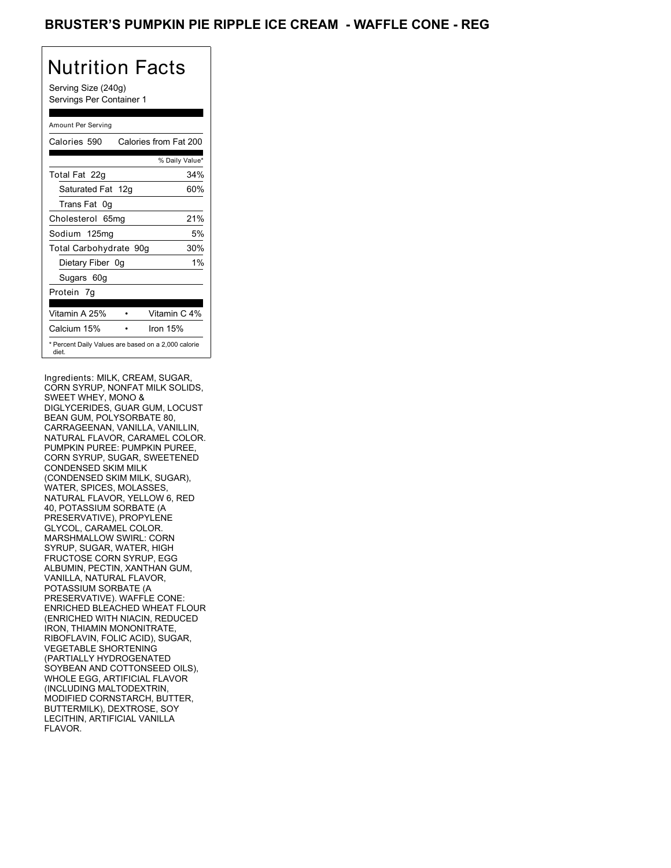### BRUSTER'S PUMPKIN PIE RIPPLE ICE CREAM - WAFFLE CONE - REG

## Nutrition Facts

Serving Size (240g) Servings Per Container 1

#### Amount Per Serving

| Calories 590                                                 | Calories from Fat 200 |
|--------------------------------------------------------------|-----------------------|
|                                                              | % Daily Value*        |
| Total Fat 22g                                                | 34%                   |
| Saturated Fat 12g                                            | 60%                   |
| Trans Fat 0q                                                 |                       |
| Cholesterol 65mg                                             | 21%                   |
| Sodium 125mg                                                 | 5%                    |
| Total Carbohydrate 90g                                       | 30%                   |
| Dietary Fiber 0g                                             | $1\%$                 |
| Sugars 60g                                                   |                       |
| Protein 7q                                                   |                       |
| Vitamin A 25%                                                | Vitamin C 4%          |
| Calcium 15%                                                  | Iron $15%$            |
| * Percent Daily Values are based on a 2,000 calorie<br>diet. |                       |

Ingredients: MILK, CREAM, SUGAR, CORN SYRUP, NONFAT MILK SOLIDS, SWEET WHEY, MONO & DIGLYCERIDES, GUAR GUM, LOCUST BEAN GUM, POLYSORBATE 80, CARRAGEENAN, VANILLA, VANILLIN, NATURAL FLAVOR, CARAMEL COLOR. PUMPKIN PUREE: PUMPKIN PUREE, CORN SYRUP, SUGAR, SWEETENED CONDENSED SKIM MILK (CONDENSED SKIM MILK, SUGAR), WATER, SPICES, MOLASSES, NATURAL FLAVOR, YELLOW 6, RED 40, POTASSIUM SORBATE (A PRESERVATIVE), PROPYLENE GLYCOL, CARAMEL COLOR. MARSHMALLOW SWIRL: CORN SYRUP, SUGAR, WATER, HIGH FRUCTOSE CORN SYRUP, EGG ALBUMIN, PECTIN, XANTHAN GUM, VANILLA, NATURAL FLAVOR, POTASSIUM SORBATE (A PRESERVATIVE). WAFFLE CONE: ENRICHED BLEACHED WHEAT FLOUR (ENRICHED WITH NIACIN, REDUCED IRON, THIAMIN MONONITRATE, RIBOFLAVIN, FOLIC ACID), SUGAR, VEGETABLE SHORTENING (PARTIALLY HYDROGENATED SOYBEAN AND COTTONSEED OILS), WHOLE EGG, ARTIFICIAL FLAVOR (INCLUDING MALTODEXTRIN, MODIFIED CORNSTARCH, BUTTER, BUTTERMILK), DEXTROSE, SOY LECITHIN, ARTIFICIAL VANILLA FLAVOR.